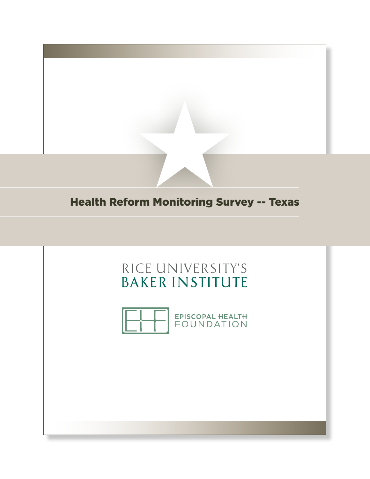

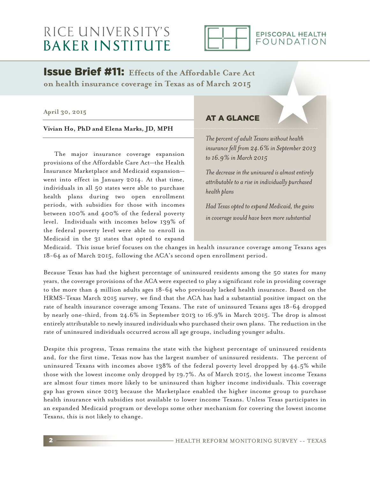## RICE UNIVERSITY'S **BAKER INSTITUTE**



#### EPISCOPAL HEALTH FOUNDATION

Issue Brief #11: **Effects of the Affordable Care Act on health insurance coverage in Texas as of March 2015**

#### **April 30, 2015**

**Vivian Ho, PhD and Elena Marks, JD, MPH**

 The major insurance coverage expansion provisions of the Affordable Care Act—the Health Insurance Marketplace and Medicaid expansion went into effect in January 2014. At that time, individuals in all 50 states were able to purchase health plans during two open enrollment periods, with subsidies for those with incomes between 100% and 400% of the federal poverty level. Individuals with incomes below 139% of the federal poverty level were able to enroll in Medicaid in the 31 states that opted to expand

#### AT A GLANCE

*The percent of adult Texans without health insurance fell from 24.6% in September 2013 to 16.9% in March 2015*

*The decrease in the uninsured is almost entirely attributable to a rise in individually purchased health plans*

*Had Texas opted to expand Medicaid, the gains in coverage would have been more substantial*

Medicaid. This issue brief focuses on the changes in health insurance coverage among Texans ages 18-64 as of March 2015, following the ACA's second open enrollment period.

Because Texas has had the highest percentage of uninsured residents among the 50 states for many years, the coverage provisions of the ACA were expected to play a significant role in providing coverage to the more than 4 million adults ages 18-64 who previously lacked health insurance. Based on the HRMS-Texas March 2015 survey, we find that the ACA has had a substantial positive impact on the rate of health insurance coverage among Texans. The rate of uninsured Texans ages 18-64 dropped by nearly one-third, from 24.6% in September 2013 to 16.9% in March 2015. The drop is almost entirely attributable to newly insured individuals who purchased their own plans. The reduction in the rate of uninsured individuals occurred across all age groups, including younger adults.

Despite this progress, Texas remains the state with the highest percentage of uninsured residents and, for the first time, Texas now has the largest number of uninsured residents. The percent of uninsured Texans with incomes above 138% of the federal poverty level dropped by 44.5% while those with the lowest income only dropped by 19.7%. As of March 2015, the lowest income Texans are almost four times more likely to be uninsured than higher income individuals. This coverage gap has grown since 2013 because the Marketplace enabled the higher income group to purchase health insurance with subsidies not available to lower income Texans. Unless Texas participates in an expanded Medicaid program or develops some other mechanism for covering the lowest income Texans, this is not likely to change.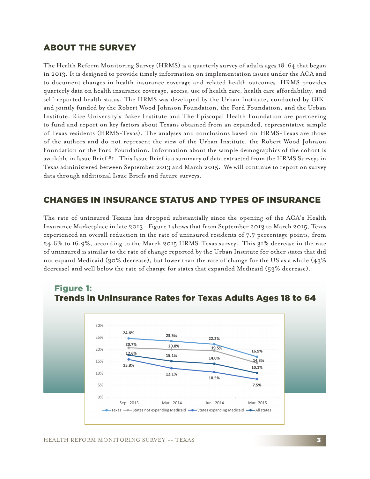### ABOUT THE SURVEY

The Health Reform Monitoring Survey (HRMS) is a quarterly survey of adults ages 18-64 that began in 2013. It is designed to provide timely information on implementation issues under the ACA and to document changes in health insurance coverage and related health outcomes. HRMS provides quarterly data on health insurance coverage, access, use of health care, health care affordability, and self-reported health status. The HRMS was developed by the Urban Institute, conducted by GfK, and jointly funded by the Robert Wood Johnson Foundation, the Ford Foundation, and the Urban Institute. Rice University's Baker Institute and The Episcopal Health Foundation are partnering to fund and report on key factors about Texans obtained from an expanded, representative sample of Texas residents (HRMS-Texas). The analyses and conclusions based on HRMS-Texas are those of the authors and do not represent the view of the Urban Institute, the Robert Wood Johnson Foundation or the Ford Foundation. Information about the sample demographics of the cohort is available in Issue Brief #1. This Issue Brief is a summary of data extracted from the HRMS Surveys in Texas administered between September 2013 and March 2015. We will continue to report on survey data through additional Issue Briefs and future surveys.

## CHANGES IN INSURANCE STATUS AND TYPES OF INSURANCE

The rate of uninsured Texans has dropped substantially since the opening of the ACA's Health Insurance Marketplace in late 2013. Figure 1 shows that from September 2013 to March 2015, Texas experienced an overall reduction in the rate of uninsured residents of 7.7 percentage points, from 24.6% to 16.9%, according to the March 2015 HRMS-Texas survey. This 31% decrease in the rate of uninsured is similar to the rate of change reported by the Urban Institute for other states that did not expand Medicaid (30% decrease), but lower than the rate of change for the US as a whole (43% decrease) and well below the rate of change for states that expanded Medicaid (53% decrease).



# Figure 1: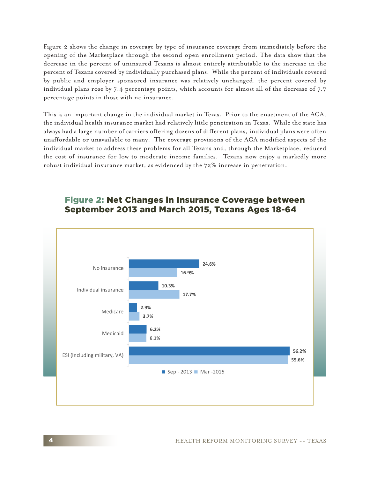Figure 2 shows the change in coverage by type of insurance coverage from immediately before the opening of the Marketplace through the second open enrollment period. The data show that the decrease in the percent of uninsured Texans is almost entirely attributable to the increase in the percent of Texans covered by individually purchased plans. While the percent of individuals covered by public and employer sponsored insurance was relatively unchanged, the percent covered by individual plans rose by 7.4 percentage points, which accounts for almost all of the decrease of 7.7 percentage points in those with no insurance.

This is an important change in the individual market in Texas. Prior to the enactment of the ACA, the individual health insurance market had relatively little penetration in Texas. While the state has always had a large number of carriers offering dozens of different plans, individual plans were often unaffordable or unavailable to many. The coverage provisions of the ACA modified aspects of the individual market to address these problems for all Texans and, through the Marketplace, reduced the cost of insurance for low to moderate income families. Texans now enjoy a markedly more robust individual insurance market, as evidenced by the 72% increase in penetration.



## Figure 2: Net Changes in Insurance Coverage between September 2013 and March 2015, Texans Ages 18-64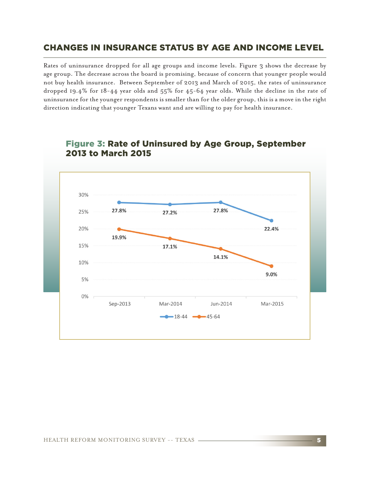## CHANGES IN INSURANCE STATUS BY AGE AND INCOME LEVEL

Rates of uninsurance dropped for all age groups and income levels. Figure 3 shows the decrease by age group. The decrease across the board is promising, because of concern that younger people would not buy health insurance. Between September of 2013 and March of 2015, the rates of uninsurance dropped 19.4% for 18-44 year olds and 55% for 45-64 year olds. While the decline in the rate of uninsurance for the younger respondents is smaller than for the older group, this is a move in the right direction indicating that younger Texans want and are willing to pay for health insurance.



## Figure 3: Rate of Uninsured by Age Group, September 2013 to March 2015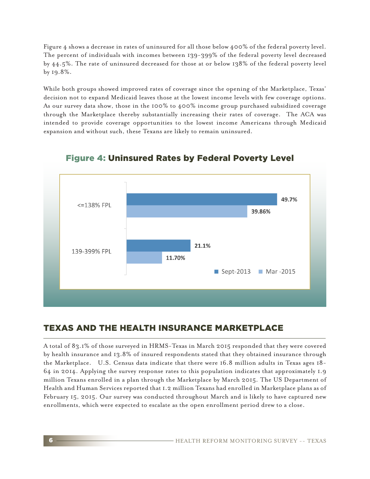Figure 4 shows a decrease in rates of uninsured for all those below 400% of the federal poverty level. The percent of individuals with incomes between 139-399% of the federal poverty level decreased by 44.5%. The rate of uninsured decreased for those at or below 138% of the federal poverty level by 19.8%.

While both groups showed improved rates of coverage since the opening of the Marketplace, Texas' decision not to expand Medicaid leaves those at the lowest income levels with few coverage options. As our survey data show, those in the 100% to 400% income group purchased subsidized coverage through the Marketplace thereby substantially increasing their rates of coverage. The ACA was intended to provide coverage opportunities to the lowest income Americans through Medicaid expansion and without such, these Texans are likely to remain uninsured.



Figure 4: Uninsured Rates by Federal Poverty Level

## TEXAS AND THE HEALTH INSURANCE MARKETPLACE

A total of 83.1% of those surveyed in HRMS-Texas in March 2015 responded that they were covered by health insurance and 13.8% of insured respondents stated that they obtained insurance through the Marketplace. U.S. Census data indicate that there were 16.8 million adults in Texas ages 18- 64 in 2014. Applying the survey response rates to this population indicates that approximately 1.9 million Texans enrolled in a plan through the Marketplace by March 2015. The US Department of Health and Human Services reported that 1.2 million Texans had enrolled in Marketplace plans as of February 15, 2015. Our survey was conducted throughout March and is likely to have captured new enrollments, which were expected to escalate as the open enrollment period drew to a close.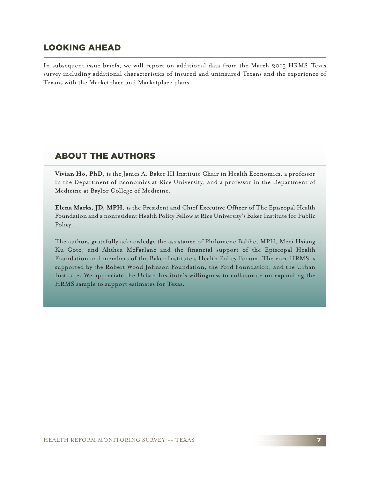### LOOKING AHEAD

In subsequent issue briefs, we will report on additional data from the March 2015 HRMS-Texas survey including additional characteristics of insured and uninsured Texans and the experience of Texans with the Marketplace and Marketplace plans.

## ABOUT THE AUTHORS

**Vivian Ho, PhD**, is the James A. Baker III Institute Chair in Health Economics, a professor in the Department of Economics at Rice University, and a professor in the Department of Medicine at Baylor College of Medicine.

**Elena Marks, JD, MPH**, is the President and Chief Executive Officer of The Episcopal Health Foundation and a nonresident Health Policy Fellow at Rice University's Baker Institute for Public Policy.

The authors gratefully acknowledge the assistance of Philomene Balihe, MPH, Meei Hsiang Ku-Goto, and Alithea McFarlane and the financial support of the Episcopal Health Foundation and members of the Baker Institute's Health Policy Forum. The core HRMS is supported by the Robert Wood Johnson Foundation, the Ford Foundation, and the Urban Institute. We appreciate the Urban Institute's willingness to collaborate on expanding the HRMS sample to support estimates for Texas.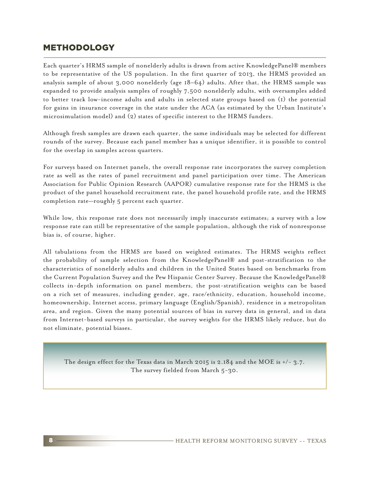## METHODOLOGY

Each quarter's HRMS sample of nonelderly adults is drawn from active KnowledgePanel® members to be representative of the US population. In the first quarter of 2013, the HRMS provided an analysis sample of about 3,000 nonelderly (age 18–64) adults. After that, the HRMS sample was expanded to provide analysis samples of roughly 7,500 nonelderly adults, with oversamples added to better track low-income adults and adults in selected state groups based on (1) the potential for gains in insurance coverage in the state under the ACA (as estimated by the Urban Institute's microsimulation model) and (2) states of specific interest to the HRMS funders.

Although fresh samples are drawn each quarter, the same individuals may be selected for different rounds of the survey. Because each panel member has a unique identifier, it is possible to control for the overlap in samples across quarters.

For surveys based on Internet panels, the overall response rate incorporates the survey completion rate as well as the rates of panel recruitment and panel participation over time. The American Association for Public Opinion Research (AAPOR) cumulative response rate for the HRMS is the product of the panel household recruitment rate, the panel household profile rate, and the HRMS completion rate—roughly 5 percent each quarter.

While low, this response rate does not necessarily imply inaccurate estimates; a survey with a low response rate can still be representative of the sample population, although the risk of nonresponse bias is, of course, higher.

All tabulations from the HRMS are based on weighted estimates. The HRMS weights reflect the probability of sample selection from the KnowledgePanel® and post-stratification to the characteristics of nonelderly adults and children in the United States based on benchmarks from the Current Population Survey and the Pew Hispanic Center Survey. Because the KnowledgePanel® collects in-depth information on panel members, the post-stratification weights can be based on a rich set of measures, including gender, age, race/ethnicity, education, household income, homeownership, Internet access, primary language (English/Spanish), residence in a metropolitan area, and region. Given the many potential sources of bias in survey data in general, and in data from Internet-based surveys in particular, the survey weights for the HRMS likely reduce, but do not eliminate, potential biases.

The design effect for the Texas data in March 2015 is 2.184 and the MOE is  $+/- 3.7$ . The survey fielded from March 5-30.